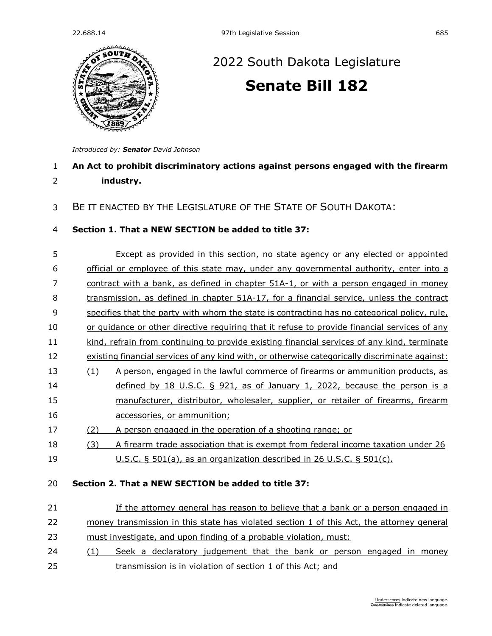

# [2022 South Dakota Legislature](https://sdlegislature.gov/Session/Bills/64) **[Senate Bill 182](https://sdlegislature.gov/Session/Bill/23259)**

*Introduced by: Senator [David Johnson](https://sdlegislature.gov/Legislators/Profile/3958/Detail)*

# **An Act to prohibit discriminatory actions against persons engaged with the firearm industry.**

## BE IT ENACTED BY THE LEGISLATURE OF THE STATE OF SOUTH DAKOTA:

#### **Section 1. That a NEW SECTION be added to title 37:**

| 5  |     | Except as provided in this section, no state agency or any elected or appointed                |  |
|----|-----|------------------------------------------------------------------------------------------------|--|
| 6  |     | official or employee of this state may, under any governmental authority, enter into a         |  |
| 7  |     | <u>contract with a bank, as defined in chapter 51A-1, or with a person engaged in money</u>    |  |
| 8  |     | transmission, as defined in chapter 51A-17, for a financial service, unless the contract       |  |
| 9  |     | specifies that the party with whom the state is contracting has no categorical policy, rule,   |  |
| 10 |     | or quidance or other directive requiring that it refuse to provide financial services of any   |  |
| 11 |     | kind, refrain from continuing to provide existing financial services of any kind, terminate    |  |
| 12 |     | existing financial services of any kind with, or otherwise categorically discriminate against: |  |
| 13 | (1) | A person, engaged in the lawful commerce of firearms or ammunition products, as                |  |
| 14 |     | defined by 18 U.S.C. $\S$ 921, as of January 1, 2022, because the person is a                  |  |
| 15 |     | manufacturer, distributor, wholesaler, supplier, or retailer of firearms, firearm              |  |
| 16 |     | accessories, or ammunition;                                                                    |  |
| 17 | (2) | A person engaged in the operation of a shooting range; or                                      |  |
| 18 | (3) | A firearm trade association that is exempt from federal income taxation under 26               |  |
| 19 |     | U.S.C. $\S$ 501(a), as an organization described in 26 U.S.C. $\S$ 501(c).                     |  |

### **Section 2. That a NEW SECTION be added to title 37:**

## 21 If the attorney general has reason to believe that a bank or a person engaged in money transmission in this state has violated section 1 of this Act, the attorney general must investigate, and upon finding of a probable violation, must:

24 (1) Seek a declaratory judgement that the bank or person engaged in money transmission is in violation of section 1 of this Act; and